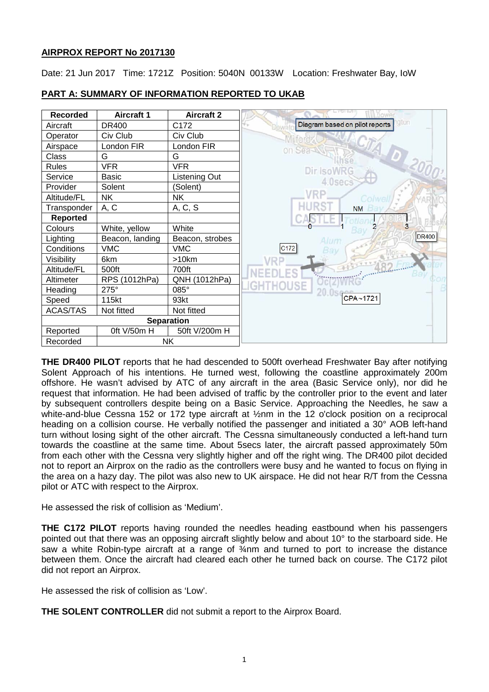# **AIRPROX REPORT No 2017130**

Date: 21 Jun 2017 Time: 1721Z Position: 5040N 00133W Location: Freshwater Bay, IoW



# **PART A: SUMMARY OF INFORMATION REPORTED TO UKAB**

**THE DR400 PILOT** reports that he had descended to 500ft overhead Freshwater Bay after notifying Solent Approach of his intentions. He turned west, following the coastline approximately 200m offshore. He wasn't advised by ATC of any aircraft in the area (Basic Service only), nor did he request that information. He had been advised of traffic by the controller prior to the event and later by subsequent controllers despite being on a Basic Service. Approaching the Needles, he saw a white-and-blue Cessna 152 or 172 type aircraft at ½nm in the 12 o'clock position on a reciprocal heading on a collision course. He verbally notified the passenger and initiated a 30° AOB left-hand turn without losing sight of the other aircraft. The Cessna simultaneously conducted a left-hand turn towards the coastline at the same time. About 5secs later, the aircraft passed approximately 50m from each other with the Cessna very slightly higher and off the right wing. The DR400 pilot decided not to report an Airprox on the radio as the controllers were busy and he wanted to focus on flying in the area on a hazy day. The pilot was also new to UK airspace. He did not hear R/T from the Cessna pilot or ATC with respect to the Airprox.

He assessed the risk of collision as 'Medium'.

**THE C172 PILOT** reports having rounded the needles heading eastbound when his passengers pointed out that there was an opposing aircraft slightly below and about 10° to the starboard side. He saw a white Robin-type aircraft at a range of 3/4nm and turned to port to increase the distance between them. Once the aircraft had cleared each other he turned back on course. The C172 pilot did not report an Airprox.

He assessed the risk of collision as 'Low'.

**THE SOLENT CONTROLLER** did not submit a report to the Airprox Board.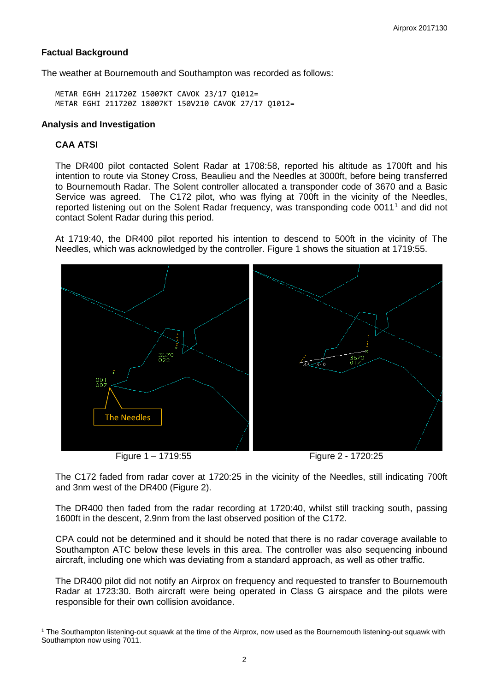## **Factual Background**

The weather at Bournemouth and Southampton was recorded as follows:

METAR EGHH 211720Z 15007KT CAVOK 23/17 Q1012= METAR EGHI 211720Z 18007KT 150V210 CAVOK 27/17 Q1012=

### **Analysis and Investigation**

# **CAA ATSI**

l

The DR400 pilot contacted Solent Radar at 1708:58, reported his altitude as 1700ft and his intention to route via Stoney Cross, Beaulieu and the Needles at 3000ft, before being transferred to Bournemouth Radar. The Solent controller allocated a transponder code of 3670 and a Basic Service was agreed. The C172 pilot, who was flying at 700ft in the vicinity of the Needles, reported listening out on the Solent Radar frequency, was transponding code 00[1](#page-1-0)1<sup>1</sup> and did not contact Solent Radar during this period.

At 1719:40, the DR400 pilot reported his intention to descend to 500ft in the vicinity of The Needles, which was acknowledged by the controller. Figure 1 shows the situation at 1719:55.



The C172 faded from radar cover at 1720:25 in the vicinity of the Needles, still indicating 700ft and 3nm west of the DR400 (Figure 2).

The DR400 then faded from the radar recording at 1720:40, whilst still tracking south, passing 1600ft in the descent, 2.9nm from the last observed position of the C172.

CPA could not be determined and it should be noted that there is no radar coverage available to Southampton ATC below these levels in this area. The controller was also sequencing inbound aircraft, including one which was deviating from a standard approach, as well as other traffic.

The DR400 pilot did not notify an Airprox on frequency and requested to transfer to Bournemouth Radar at 1723:30. Both aircraft were being operated in Class G airspace and the pilots were responsible for their own collision avoidance.

<span id="page-1-0"></span><sup>1</sup> The Southampton listening-out squawk at the time of the Airprox, now used as the Bournemouth listening-out squawk with Southampton now using 7011.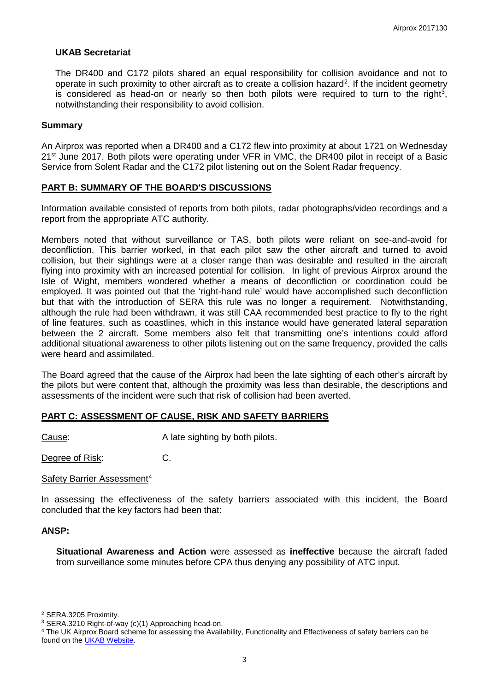### **UKAB Secretariat**

The DR400 and C172 pilots shared an equal responsibility for collision avoidance and not to operate in such proximity to other aircraft as to create a collision hazard<sup>[2](#page-2-0)</sup>. If the incident geometry is considered as head-on or nearly so then both pilots were required to turn to the right<sup>[3](#page-2-1)</sup>, notwithstanding their responsibility to avoid collision.

#### **Summary**

An Airprox was reported when a DR400 and a C172 flew into proximity at about 1721 on Wednesday 21<sup>st</sup> June 2017. Both pilots were operating under VFR in VMC, the DR400 pilot in receipt of a Basic Service from Solent Radar and the C172 pilot listening out on the Solent Radar frequency.

#### **PART B: SUMMARY OF THE BOARD'S DISCUSSIONS**

Information available consisted of reports from both pilots, radar photographs/video recordings and a report from the appropriate ATC authority.

Members noted that without surveillance or TAS, both pilots were reliant on see-and-avoid for deconfliction. This barrier worked, in that each pilot saw the other aircraft and turned to avoid collision, but their sightings were at a closer range than was desirable and resulted in the aircraft flying into proximity with an increased potential for collision. In light of previous Airprox around the Isle of Wight, members wondered whether a means of deconfliction or coordination could be employed. It was pointed out that the 'right-hand rule' would have accomplished such deconfliction but that with the introduction of SERA this rule was no longer a requirement. Notwithstanding, although the rule had been withdrawn, it was still CAA recommended best practice to fly to the right of line features, such as coastlines, which in this instance would have generated lateral separation between the 2 aircraft. Some members also felt that transmitting one's intentions could afford additional situational awareness to other pilots listening out on the same frequency, provided the calls were heard and assimilated.

The Board agreed that the cause of the Airprox had been the late sighting of each other's aircraft by the pilots but were content that, although the proximity was less than desirable, the descriptions and assessments of the incident were such that risk of collision had been averted.

### **PART C: ASSESSMENT OF CAUSE, RISK AND SAFETY BARRIERS**

Cause: A late sighting by both pilots.

Degree of Risk: C.

#### Safety Barrier Assessment<sup>[4](#page-2-2)</sup>

In assessing the effectiveness of the safety barriers associated with this incident, the Board concluded that the key factors had been that:

#### **ANSP:**

 $\overline{\phantom{a}}$ 

**Situational Awareness and Action** were assessed as **ineffective** because the aircraft faded from surveillance some minutes before CPA thus denying any possibility of ATC input.

<span id="page-2-0"></span><sup>2</sup> SERA.3205 Proximity.

<span id="page-2-1"></span><sup>3</sup> SERA.3210 Right-of-way (c)(1) Approaching head-on.

<span id="page-2-2"></span><sup>4</sup> The UK Airprox Board scheme for assessing the Availability, Functionality and Effectiveness of safety barriers can be found on the **UKAB Website**.